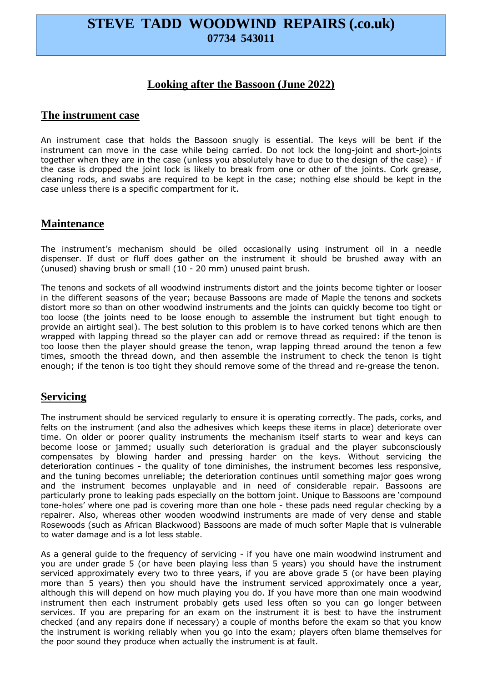# **STEVE TADD WOODWIND REPAIRS (.co.uk) 07734 543011**

## **Looking after the Bassoon (June 2022)**

#### **The instrument case**

An instrument case that holds the Bassoon snugly is essential. The keys will be bent if the instrument can move in the case while being carried. Do not lock the long-joint and short-joints together when they are in the case (unless you absolutely have to due to the design of the case) - if the case is dropped the joint lock is likely to break from one or other of the joints. Cork grease, cleaning rods, and swabs are required to be kept in the case; nothing else should be kept in the case unless there is a specific compartment for it.

### **Maintenance**

The instrument's mechanism should be oiled occasionally using instrument oil in a needle dispenser. If dust or fluff does gather on the instrument it should be brushed away with an (unused) shaving brush or small (10 - 20 mm) unused paint brush.

The tenons and sockets of all woodwind instruments distort and the joints become tighter or looser in the different seasons of the year; because Bassoons are made of Maple the tenons and sockets distort more so than on other woodwind instruments and the joints can quickly become too tight or too loose (the joints need to be loose enough to assemble the instrument but tight enough to provide an airtight seal). The best solution to this problem is to have corked tenons which are then wrapped with lapping thread so the player can add or remove thread as required: if the tenon is too loose then the player should grease the tenon, wrap lapping thread around the tenon a few times, smooth the thread down, and then assemble the instrument to check the tenon is tight enough; if the tenon is too tight they should remove some of the thread and re-grease the tenon.

#### **Servicing**

The instrument should be serviced regularly to ensure it is operating correctly. The pads, corks, and felts on the instrument (and also the adhesives which keeps these items in place) deteriorate over time. On older or poorer quality instruments the mechanism itself starts to wear and keys can become loose or jammed; usually such deterioration is gradual and the player subconsciously compensates by blowing harder and pressing harder on the keys. Without servicing the deterioration continues - the quality of tone diminishes, the instrument becomes less responsive, and the tuning becomes unreliable; the deterioration continues until something major goes wrong and the instrument becomes unplayable and in need of considerable repair. Bassoons are particularly prone to leaking pads especially on the bottom joint. Unique to Bassoons are 'compound tone-holes' where one pad is covering more than one hole - these pads need regular checking by a repairer. Also, whereas other wooden woodwind instruments are made of very dense and stable Rosewoods (such as African Blackwood) Bassoons are made of much softer Maple that is vulnerable to water damage and is a lot less stable.

As a general guide to the frequency of servicing - if you have one main woodwind instrument and you are under grade 5 (or have been playing less than 5 years) you should have the instrument serviced approximately every two to three years, if you are above grade 5 (or have been playing more than 5 years) then you should have the instrument serviced approximately once a year, although this will depend on how much playing you do. If you have more than one main woodwind instrument then each instrument probably gets used less often so you can go longer between services. If you are preparing for an exam on the instrument it is best to have the instrument checked (and any repairs done if necessary) a couple of months before the exam so that you know the instrument is working reliably when you go into the exam; players often blame themselves for the poor sound they produce when actually the instrument is at fault.